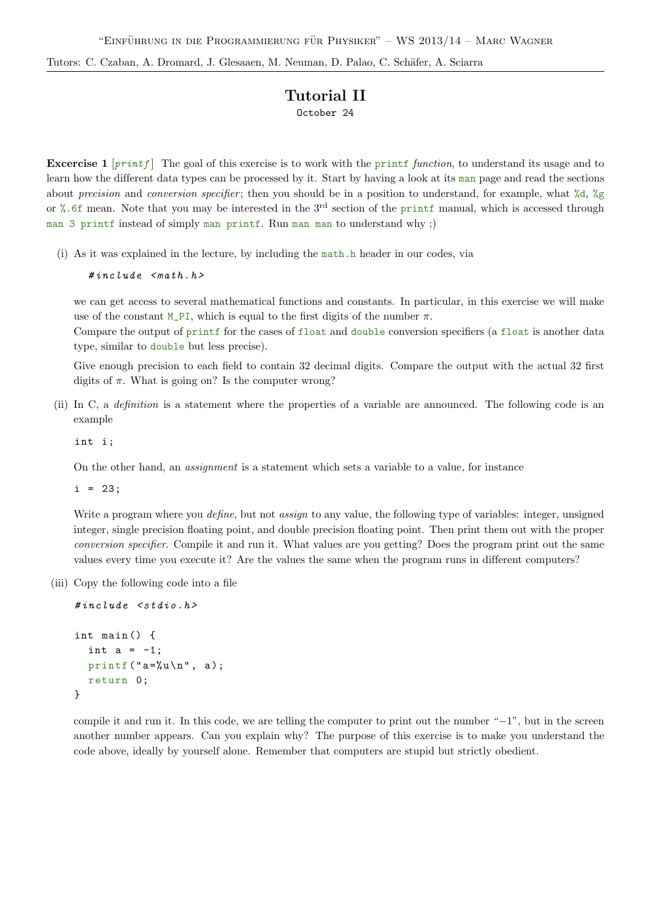Tutors: C. Czaban, A. Dromard, J. Glesaaen, M. Neuman, D. Palao, C. Schäfer, A. Sciarra

## Tutorial II October 24

**Excercise 1**  $[print]$  The goal of this exercise is to work with the printf function, to understand its usage and to learn how the different data types can be processed by it. Start by having a look at its man page and read the sections about precision and conversion specifier; then you should be in a position to understand, for example, what  $\%d$ ,  $\%g$ or %.6f mean. Note that you may be interested in the 3rd section of the printf manual, which is accessed through man 3 printf instead of simply man printf. Run man man to understand why ;)

(i) As it was explained in the lecture, by including the math.h header in our codes, via

#include <math.h>

we can get access to several mathematical functions and constants. In particular, in this exercise we will make use of the constant M\_PI, which is equal to the first digits of the number  $\pi$ .

Compare the output of printf for the cases of float and double conversion specifiers (a float is another data type, similar to double but less precise).

Give enough precision to each field to contain 32 decimal digits. Compare the output with the actual 32 first digits of  $\pi$ . What is going on? Is the computer wrong?

(ii) In C, a *definition* is a statement where the properties of a variable are announced. The following code is an example

int i;

On the other hand, an assignment is a statement which sets a variable to a value, for instance

 $i = 23;$ 

Write a program where you *define*, but not *assign* to any value, the following type of variables: integer, unsigned integer, single precision floating point, and double precision floating point. Then print them out with the proper conversion specifier. Compile it and run it. What values are you getting? Does the program print out the same values every time you execute it? Are the values the same when the program runs in different computers?

(iii) Copy the following code into a file

```
#inculate \leq stdio.hint main () {
  int a = -1;
  printf ("a = \sqrt[n]{u \ln^n}, a);
  return 0;
}
```
compile it and run it. In this code, we are telling the computer to print out the number "−1", but in the screen another number appears. Can you explain why? The purpose of this exercise is to make you understand the code above, ideally by yourself alone. Remember that computers are stupid but strictly obedient.